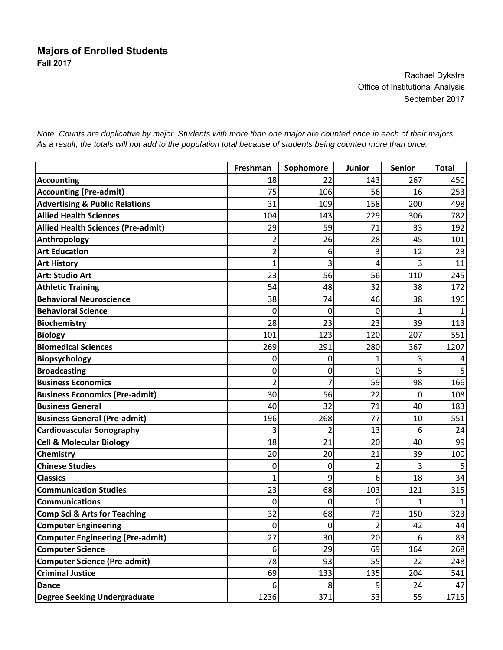Rachael Dykstra Office of Institutional Analysis September 2017

Freshman Sophomore Junior Senior Total **Accounting** 18 22 22 267 267 260 **Accounting (Pre-admit)** 106 **106** 106 **106** 16 253 **Advertising & Public Relations**  $\begin{array}{ccc} | & 31 & 109 & 158 & 200 & 498 \end{array}$ **Allied Health Sciences** 104 143 229 306 782 **Allied Health Sciences (Pre‐admit)** 29 59 71 33 192 **Anthropology** 2 26 26 28 45 201 **Art Education** 2 6 3 12 23 **Art History** 1 3 4 3 11 **Art: Studio Art** 23 56 56 110 245 **Athletic Training** 54 48 32 38 172 **Behavioral Neuroscience** 38 74 46 38 196 **Behavioral Science** 0 0 011 **Biochemistry** 28 23 23 23 39 113 **Biology** 101 123 120 207 551 **Biomedical Sciences** 269 291 280 367 1207 **Biopsychology** 0 0 134 **Broadcasting** 0 0 055 **Business Economics** 2 7 59 98 166 **Business Economics (Pre-admit)** 108 **Business General 183 business General** 183 **Business General (Pre-admit)** 196 196 196 268 77 10 551 **Cardiovascular Sonography** 3 2 13 6 24 **Cell & Molecular Biology** 18 21 20 40 99 **Chemistry** 20 20 20 20 21 39 100 **Chinese Studies** 0 0 235 **Classics** 1 9 6 18 34 **Communication Studies** 23 68 103 121 315 **Communications** 0 0 011 **Comp Sci & Arts for Teaching \begin{array}{ccc} 32 & 32 & 68 & 73 & 150 \\ 323 & 62 & 62 & 73 & 150 \\ 323 & 62 & 62 & 73 & 150 \\ 323 & 323 & 323 & 150 & 150 \\ 323 & 323 & 323 & 150 & 150 \\ 323 & 323 & 323 & 150 & 150 \\ 323 & 323 & 323 & 150 & 150 \\ 323 & 323 & 323 & 150 Computer Engineering \begin{vmatrix} 1 & 0 & 0 & 0 & 2 & 42 \\ 0 & 0 & 2 & 42 & 44 \\ 0 & 0 & 0 & 0 & 2 & 42 \\ 0 & 0 & 0 & 0 & 0 & 4 & 48 \\ 0 & 0 & 0 & 0 & 0 & 0 & 0 \\ 0 & 0 & 0 & 0 & 0 & 0 & 0 \\ 0 & 0 & 0 & 0 & 0 & 0 & 0 \\ 0 & 0 & 0 & 0 & 0 & 0 & 0 \\ 0 & 0 & 0 & 0 & 0 & 0 & 0 & 0 \\ 0 & 0 & 0 Computer Engineering (Pre‐admit)** 27 30 20 6 83 **Computer Science** 268 **Computer Science (Pre-admit)** 1 78 78 93 55 22 248 **Criminal Justice** 69 133 135 204 541 **Dance** 8 8 24 47 **Degree Seeking Undergraduate** 1236 1236 371 53 55 1715

*Note: Counts are duplicative by major. Students with more than one major are counted once in each of their majors. As a result, the totals will not add to the population total because of students being counted more than once.*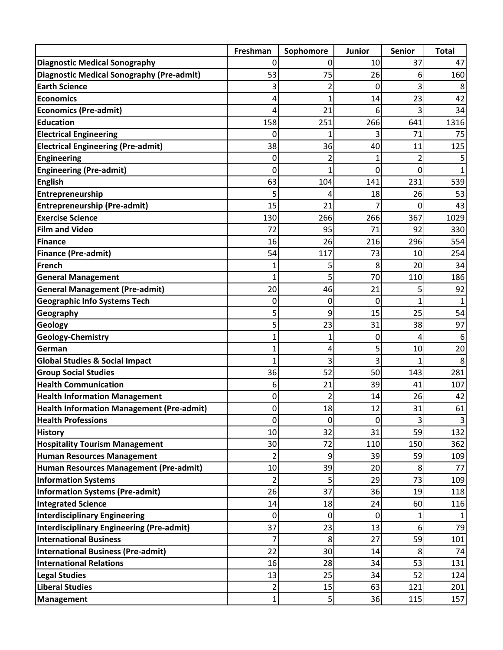|                                                  | Freshman | Sophomore | Junior | <b>Senior</b>  | <b>Total</b> |
|--------------------------------------------------|----------|-----------|--------|----------------|--------------|
| <b>Diagnostic Medical Sonography</b>             | 0        | 0         | 10     | 37             | 47           |
| <b>Diagnostic Medical Sonography (Pre-admit)</b> | 53       | 75        | 26     | 6              | 160          |
| <b>Earth Science</b>                             | 3        | 2         | 0      | 3              | 8            |
| <b>Economics</b>                                 | 4        |           | 14     | 23             | 42           |
| <b>Economics (Pre-admit)</b>                     |          | 21        | 6      | 3              | 34           |
| <b>Education</b>                                 | 158      | 251       | 266    | 641            | 1316         |
| <b>Electrical Engineering</b>                    | 0        |           |        | 71             | 75           |
| <b>Electrical Engineering (Pre-admit)</b>        | 38       | 36        | 40     | 11             | 125          |
| <b>Engineering</b>                               | 0        | 2         | 1      | $\overline{2}$ |              |
| <b>Engineering (Pre-admit)</b>                   | 0        |           | 0      | 0              |              |
| <b>English</b>                                   | 63       | 104       | 141    | 231            | 539          |
| Entrepreneurship                                 | 5        | 4         | 18     | 26             | 53           |
| <b>Entrepreneurship (Pre-admit)</b>              | 15       | 21        |        | 0              | 43           |
| <b>Exercise Science</b>                          | 130      | 266       | 266    | 367            | 1029         |
| <b>Film and Video</b>                            | 72       | 95        | 71     | 92             | 330          |
| <b>Finance</b>                                   | 16       | 26        | 216    | 296            | 554          |
| <b>Finance (Pre-admit)</b>                       | 54       | 117       | 73     | 10             | 254          |
| <b>French</b>                                    | 1        | 5         | 8      | 20             | 34           |
| <b>General Management</b>                        | 1        | 5         | 70     | 110            | 186          |
| <b>General Management (Pre-admit)</b>            | 20       | 46        | 21     | 5              | 92           |
| <b>Geographic Info Systems Tech</b>              | 0        | 0         | 0      | 1              |              |
| Geography                                        | 5        | 9         | 15     | 25             | 54           |
| Geology                                          | 5        | 23        | 31     | 38             | 97           |
| Geology-Chemistry                                |          | 1         | 0      | 4              | 6            |
| German                                           |          | 4         | 5      | 10             | 20           |
| <b>Global Studies &amp; Social Impact</b>        | 1        | 3         | 3      | 1              | 8            |
| <b>Group Social Studies</b>                      | 36       | 52        | 50     | 143            | 281          |
| <b>Health Communication</b>                      | 6        | 21        | 39     | 41             | 107          |
| <b>Health Information Management</b>             | 0        | 2         | 14     | 26             | 42           |
| <b>Health Information Management (Pre-admit)</b> | 0        | 18        | 12     | 31             | 61           |
| <b>Health Professions</b>                        | 0        | 0         | 0      | 3              | 3            |
| <b>History</b>                                   | 10       | 32        | 31     | 59             | 132          |
| <b>Hospitality Tourism Management</b>            | 30       | 72        | 110    | 150            | 362          |
| <b>Human Resources Management</b>                | 2        | 9         | 39     | 59             | 109          |
| Human Resources Management (Pre-admit)           | 10       | 39        | 20     | 8              | 77           |
| <b>Information Systems</b>                       | 2        | 5         | 29     | 73             | 109          |
| <b>Information Systems (Pre-admit)</b>           | 26       | 37        | 36     | 19             | 118          |
| <b>Integrated Science</b>                        | 14       | 18        | 24     | 60             | 116          |
| <b>Interdisciplinary Engineering</b>             | 0        | 0         | 0      | 1              |              |
| <b>Interdisciplinary Engineering (Pre-admit)</b> | 37       | 23        | 13     | 6              | 79           |
| <b>International Business</b>                    | 7        | 8         | 27     | 59             | 101          |
| <b>International Business (Pre-admit)</b>        | 22       | 30        | 14     | 8              | 74           |
| <b>International Relations</b>                   | 16       | 28        | 34     | 53             | 131          |
| <b>Legal Studies</b>                             | 13       | 25        | 34     | 52             | 124          |
| <b>Liberal Studies</b>                           | 2        | 15        | 63     | 121            | 201          |
| Management                                       | 1        | 5         | 36     | 115            | 157          |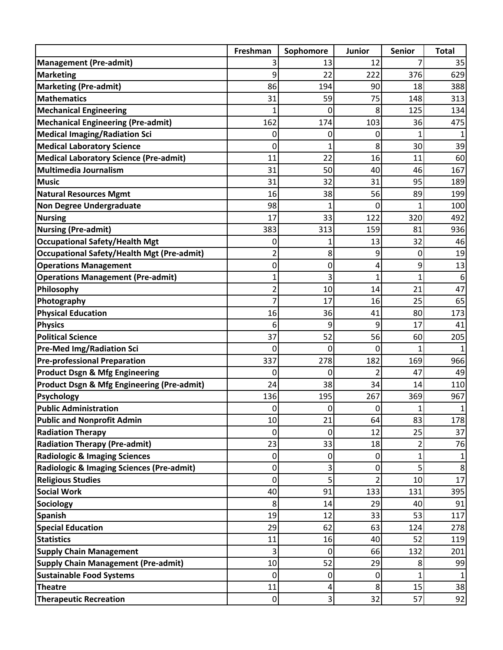|                                                                                  | Freshman  | Sophomore | <b>Junior</b>  | <b>Senior</b> | <b>Total</b> |
|----------------------------------------------------------------------------------|-----------|-----------|----------------|---------------|--------------|
| <b>Management (Pre-admit)</b>                                                    |           | 13        | 12             | 7             | 35           |
| <b>Marketing</b>                                                                 | 9         | 22        | 222            | 376           | 629          |
| <b>Marketing (Pre-admit)</b>                                                     | 86        | 194       | 90             | 18            | 388          |
| <b>Mathematics</b>                                                               | 31        | 59        | 75             | 148           | 313          |
| <b>Mechanical Engineering</b>                                                    | 1         | 0         | 8              | 125           | 134          |
| <b>Mechanical Engineering (Pre-admit)</b>                                        | 162       | 174       | 103            | 36            | 475          |
| <b>Medical Imaging/Radiation Sci</b>                                             | 0         | 0         | 0              | 1             |              |
| <b>Medical Laboratory Science</b>                                                | 0         | 1         | 8              | 30            | 39           |
| <b>Medical Laboratory Science (Pre-admit)</b>                                    | 11        | 22        | 16             | 11            | 60           |
| <b>Multimedia Journalism</b>                                                     | 31        | 50        | 40             | 46            | 167          |
| <b>Music</b>                                                                     | 31        | 32        | 31             | 95            | 189          |
| <b>Natural Resources Mgmt</b>                                                    | 16        | 38        | 56             | 89            | 199          |
| <b>Non Degree Undergraduate</b>                                                  | 98        | 1         | 0              | 1             | 100          |
| <b>Nursing</b>                                                                   | 17        | 33        | 122            | 320           | 492          |
| <b>Nursing (Pre-admit)</b>                                                       | 383       | 313       | 159            | 81            | 936          |
| <b>Occupational Safety/Health Mgt</b>                                            | 0         |           | 13             | 32            | 46           |
| <b>Occupational Safety/Health Mgt (Pre-admit)</b>                                | 2         | 8         | 9              | 0             | 19           |
| <b>Operations Management</b>                                                     | 0         | 0         | 4              | 9             | 13           |
| <b>Operations Management (Pre-admit)</b>                                         | 1         | 3         | 1              | $\mathbf{1}$  | 6            |
| Philosophy                                                                       | 2         | 10        | 14             | 21            | 47           |
| Photography                                                                      | 7         | 17        | 16             | 25            | 65           |
| <b>Physical Education</b>                                                        | 16        | 36        | 41             | 80            | 173          |
| <b>Physics</b>                                                                   | 6         | 9         | 9              | 17            | 41           |
| <b>Political Science</b>                                                         | 37        | 52        | 56             | 60            | 205          |
| <b>Pre-Med Img/Radiation Sci</b>                                                 | 0         | 0         | 0              | $\mathbf{1}$  |              |
| <b>Pre-professional Preparation</b>                                              | 337       | 278       | 182            | 169           | 966          |
| <b>Product Dsgn &amp; Mfg Engineering</b>                                        | 0         | 0         | $\overline{2}$ | 47            | 49           |
| <b>Product Dsgn &amp; Mfg Engineering (Pre-admit)</b>                            | 24        | 38        | 34             | 14            | 110          |
| <b>Psychology</b>                                                                | 136       | 195       | 267            | 369           | 967          |
| <b>Public Administration</b>                                                     | 0         | 0         | 0              | 1             | 1            |
| <b>Public and Nonprofit Admin</b>                                                | 10        | 21        | 64             | 83            | 178          |
| <b>Radiation Therapy</b>                                                         | 0         | 0         | 12             | 25            | 37           |
| <b>Radiation Therapy (Pre-admit)</b>                                             | 23        | 33        | 18             | 2             | 76           |
| <b>Radiologic &amp; Imaging Sciences</b>                                         | 0         | 0         | 0              | $\mathbf 1$   |              |
| <b>Radiologic &amp; Imaging Sciences (Pre-admit)</b><br><b>Religious Studies</b> | 0         | 3<br>5    | 0<br>2         | 5             | 8<br>17      |
| <b>Social Work</b>                                                               | 0<br>40   | 91        | 133            | 10<br>131     | 395          |
| Sociology                                                                        | 8         | 14        | 29             | 40            | 91           |
| <b>Spanish</b>                                                                   | 19        | 12        | 33             | 53            | 117          |
| <b>Special Education</b>                                                         | 29        | 62        | 63             | 124           |              |
| <b>Statistics</b>                                                                | 11        | 16        | 40             | 52            | 278<br>119   |
| <b>Supply Chain Management</b>                                                   | 3         | 0         | 66             | 132           | 201          |
| <b>Supply Chain Management (Pre-admit)</b>                                       | 10        | 52        | 29             | 8             | 99           |
| <b>Sustainable Food Systems</b>                                                  | 0         | 0         | 0              | 1             | 1            |
| <b>Theatre</b>                                                                   | 11        | 4         | 8              | 15            | 38           |
| <b>Therapeutic Recreation</b>                                                    | $\pmb{0}$ | 3         | 32             | 57            | 92           |
|                                                                                  |           |           |                |               |              |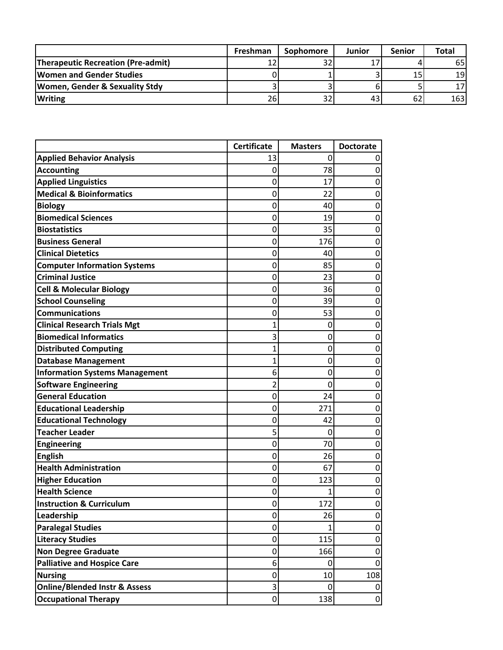|                                           | Freshman | <b>Sophomore</b> | Junior | <b>Senior</b> | <b>Total</b> |
|-------------------------------------------|----------|------------------|--------|---------------|--------------|
| <b>Therapeutic Recreation (Pre-admit)</b> |          |                  |        |               | 65 I         |
| <b>Women and Gender Studies</b>           |          |                  |        | 15            | 19           |
| Women, Gender & Sexuality Stdy            |          |                  |        |               |              |
| <b>Writing</b>                            | 26ı      |                  |        | 62            | 163          |

|                                          | <b>Certificate</b> | <b>Masters</b> | <b>Doctorate</b> |
|------------------------------------------|--------------------|----------------|------------------|
| <b>Applied Behavior Analysis</b>         | 13                 | 0              | 0                |
| <b>Accounting</b>                        | 0                  | 78             | 0                |
| <b>Applied Linguistics</b>               | 0                  | 17             | 0                |
| <b>Medical &amp; Bioinformatics</b>      | 0                  | 22             | 0                |
| <b>Biology</b>                           | 0                  | 40             | 0                |
| <b>Biomedical Sciences</b>               | 0                  | 19             | 0                |
| <b>Biostatistics</b>                     | 0                  | 35             | 0                |
| <b>Business General</b>                  | 0                  | 176            | 0                |
| <b>Clinical Dietetics</b>                | 0                  | 40             | 0                |
| <b>Computer Information Systems</b>      | 0                  | 85             | 0                |
| <b>Criminal Justice</b>                  | 0                  | 23             | 0                |
| <b>Cell &amp; Molecular Biology</b>      | 0                  | 36             | 0                |
| <b>School Counseling</b>                 | 0                  | 39             | 0                |
| <b>Communications</b>                    | 0                  | 53             | 0                |
| <b>Clinical Research Trials Mgt</b>      | 1                  | 0              | 0                |
| <b>Biomedical Informatics</b>            | 3                  | 0              | 0                |
| <b>Distributed Computing</b>             | 1                  | 0              | 0                |
| <b>Database Management</b>               | 1                  | 0              | 0                |
| <b>Information Systems Management</b>    | 6                  | 0              | 0                |
| <b>Software Engineering</b>              | 2                  | 0              | 0                |
| <b>General Education</b>                 | 0                  | 24             | 0                |
| <b>Educational Leadership</b>            | 0                  | 271            | 0                |
| <b>Educational Technology</b>            | 0                  | 42             | 0                |
| <b>Teacher Leader</b>                    | 5                  | 0              | 0                |
| <b>Engineering</b>                       | 0                  | 70             | 0                |
| <b>English</b>                           | 0                  | 26             | 0                |
| <b>Health Administration</b>             | 0                  | 67             | 0                |
| <b>Higher Education</b>                  | 0                  | 123            | 0                |
| <b>Health Science</b>                    | 0                  | 1              | 0                |
| <b>Instruction &amp; Curriculum</b>      | 0                  | 172            | 0                |
| Leadership                               | 0                  | 26             | 0                |
| <b>Paralegal Studies</b>                 | 0                  | 1              | 0                |
| <b>Literacy Studies</b>                  | 0                  | 115            | $\pmb{0}$        |
| <b>Non Degree Graduate</b>               | 0                  | 166            | $\pmb{0}$        |
| <b>Palliative and Hospice Care</b>       | 6                  | 0              | 0                |
| <b>Nursing</b>                           | 0                  | 10             | 108              |
| <b>Online/Blended Instr &amp; Assess</b> | 3                  | 0              | 0                |
| <b>Occupational Therapy</b>              | 0                  | 138            | $\pmb{0}$        |